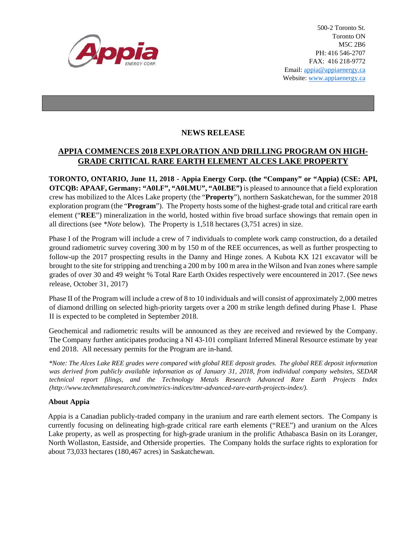

500-2 Toronto St. Toronto ON M5C 2B6 PH: 416 546-2707 FAX: 416 218-9772 Email: appia@appiaenergy.ca Website: www.appiaenergy.ca

## **NEWS RELEASE**

## **APPIA COMMENCES 2018 EXPLORATION AND DRILLING PROGRAM ON HIGH-GRADE CRITICAL RARE EARTH ELEMENT ALCES LAKE PROPERTY**

**TORONTO, ONTARIO, June 11, 2018 - Appia Energy Corp. (the "Company" or "Appia) (CSE: API, OTCQB: APAAF, Germany: "A0I.F", "A0I.MU", "A0I.BE")** is pleased to announce that a field exploration crew has mobilized to the Alces Lake property (the "**Property**"), northern Saskatchewan, for the summer 2018 exploration program (the "**Program**"). The Property hosts some of the highest-grade total and critical rare earth element ("**REE**") mineralization in the world, hosted within five broad surface showings that remain open in all directions (see *\*Note* below). The Property is 1,518 hectares (3,751 acres) in size.

Phase I of the Program will include a crew of 7 individuals to complete work camp construction, do a detailed ground radiometric survey covering 300 m by 150 m of the REE occurrences, as well as further prospecting to follow-up the 2017 prospecting results in the Danny and Hinge zones. A Kubota KX 121 excavator will be brought to the site for stripping and trenching a 200 m by 100 m area in the Wilson and Ivan zones where sample grades of over 30 and 49 weight % Total Rare Earth Oxides respectively were encountered in 2017. (See news release, October 31, 2017)

Phase II of the Program will include a crew of 8 to 10 individuals and will consist of approximately 2,000 metres of diamond drilling on selected high-priority targets over a 200 m strike length defined during Phase I. Phase II is expected to be completed in September 2018.

Geochemical and radiometric results will be announced as they are received and reviewed by the Company. The Company further anticipates producing a NI 43-101 compliant Inferred Mineral Resource estimate by year end 2018. All necessary permits for the Program are in-hand.

*\*Note: The Alces Lake REE grades were compared with global REE deposit grades. The global REE deposit information was derived from publicly available information as of January 31, 2018, from individual company websites, SEDAR technical report filings, and the Technology Metals Research Advanced Rare Earth Projects Index (http://www.techmetalsresearch.com/metrics-indices/tmr-advanced-rare-earth-projects-index/).* 

## **About Appia**

Appia is a Canadian publicly-traded company in the uranium and rare earth element sectors. The Company is currently focusing on delineating high-grade critical rare earth elements ("REE") and uranium on the Alces Lake property, as well as prospecting for high-grade uranium in the prolific Athabasca Basin on its Loranger, North Wollaston, Eastside, and Otherside properties. The Company holds the surface rights to exploration for about 73,033 hectares (180,467 acres) in Saskatchewan.